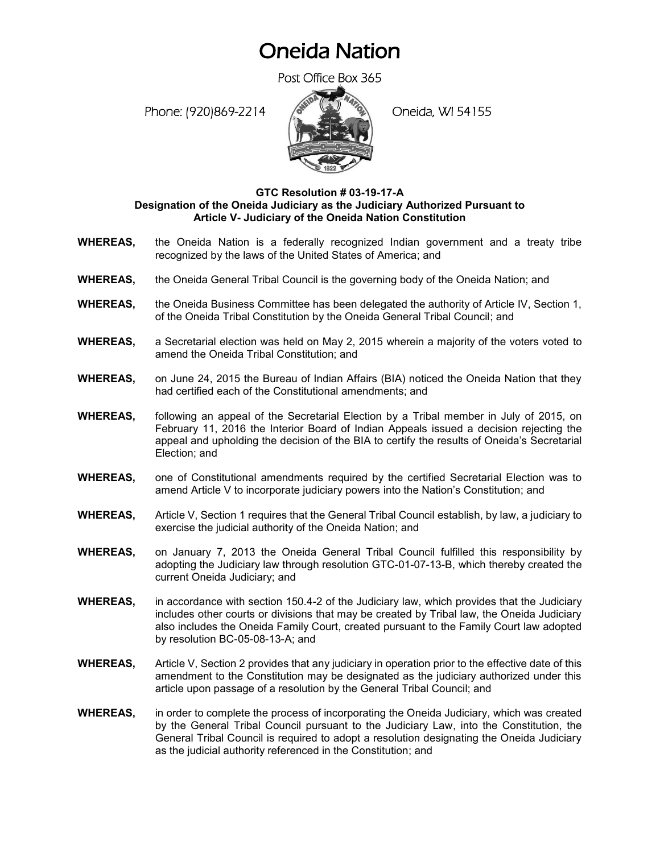## Oneida Nation

Post Office Box 365

Phone: (920)869-2214 (Oneida, WI 54155



## **GTC Resolution # 03-19-17-A Designation of the Oneida Judiciary as the Judiciary Authorized Pursuant to Article V- Judiciary of the Oneida Nation Constitution**

- **WHEREAS,** the Oneida Nation is a federally recognized Indian government and a treaty tribe recognized by the laws of the United States of America; and
- **WHEREAS,** the Oneida General Tribal Council is the governing body of the Oneida Nation; and
- **WHEREAS,** the Oneida Business Committee has been delegated the authority of Article IV, Section 1, of the Oneida Tribal Constitution by the Oneida General Tribal Council; and
- **WHEREAS,** a Secretarial election was held on May 2, 2015 wherein a majority of the voters voted to amend the Oneida Tribal Constitution; and
- **WHEREAS,** on June 24, 2015 the Bureau of Indian Affairs (BIA) noticed the Oneida Nation that they had certified each of the Constitutional amendments; and
- **WHEREAS,** following an appeal of the Secretarial Election by a Tribal member in July of 2015, on February 11, 2016 the Interior Board of Indian Appeals issued a decision rejecting the appeal and upholding the decision of the BIA to certify the results of Oneida's Secretarial Election; and
- **WHEREAS,** one of Constitutional amendments required by the certified Secretarial Election was to amend Article V to incorporate judiciary powers into the Nation's Constitution; and
- **WHEREAS,** Article V, Section 1 requires that the General Tribal Council establish, by law, a judiciary to exercise the judicial authority of the Oneida Nation; and
- **WHEREAS,** on January 7, 2013 the Oneida General Tribal Council fulfilled this responsibility by adopting the Judiciary law through resolution GTC-01-07-13-B, which thereby created the current Oneida Judiciary; and
- **WHEREAS,** in accordance with section 150.4-2 of the Judiciary law, which provides that the Judiciary includes other courts or divisions that may be created by Tribal law, the Oneida Judiciary also includes the Oneida Family Court, created pursuant to the Family Court law adopted by resolution BC-05-08-13-A; and
- **WHEREAS,** Article V, Section 2 provides that any judiciary in operation prior to the effective date of this amendment to the Constitution may be designated as the judiciary authorized under this article upon passage of a resolution by the General Tribal Council; and
- **WHEREAS,** in order to complete the process of incorporating the Oneida Judiciary, which was created by the General Tribal Council pursuant to the Judiciary Law, into the Constitution, the General Tribal Council is required to adopt a resolution designating the Oneida Judiciary as the judicial authority referenced in the Constitution; and